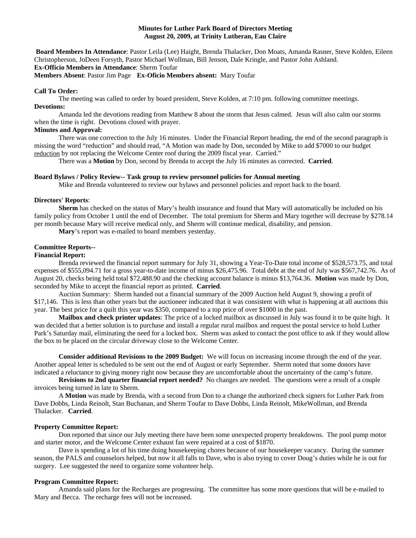### **Minutes for Luther Park Board of Directors Meeting August 20, 2009, at Trinity Lutheran, Eau Claire**

**Board Members In Attendance**: Pastor Leila (Lee) Haight, Brenda Thalacker, Don Moats, Amanda Rasner, Steve Kolden, Eileen Christopherson, JoDeen Forsyth, Pastor Michael Wollman, Bill Jenson, Dale Kringle, and Pastor John Ashland. **Ex-Officio Members in Attendance**: Sherm Toufar

**Members Absent**: Pastor Jim Page **Ex-Oficio Members absent:** Mary Toufar

### **Call To Order:**

The meeting was called to order by board president, Steve Kolden, at 7:10 pm. following committee meetings. **Devotions:** 

Amanda led the devotions reading from Matthew 8 about the storm that Jesus calmed. Jesus will also calm our storms when the time is right. Devotions closed with prayer.

## **Minutes and Approval:**

There was one correction to the July 16 minutes. Under the Financial Report heading, the end of the second paragraph is missing the word "reduction" and should read, "A Motion was made by Don, seconded by Mike to add \$7000 to our budget reduction by not replacing the Welcome Center roof during the 2009 fiscal year. Carried."

There was a **Motion** by Don, second by Brenda to accept the July 16 minutes as corrected. **Carried**.

#### **Board Bylaws / Policy Review-- Task group to review personnel policies for Annual meeting**

Mike and Brenda volunteered to review our bylaws and personnel policies and report back to the board.

#### **Directors' Reports**:

**Sherm** has checked on the status of Mary's health insurance and found that Mary will automatically be included on his family policy from October 1 until the end of December. The total premium for Sherm and Mary together will decrease by \$278.14 per month because Mary will receive medical only, and Sherm will continue medical, disability, and pension.

**Mary**'s report was e-mailed to board members yesterday.

#### **Committee Reports--**

#### **Financial Report:**

Brenda reviewed the financial report summary for July 31, showing a Year-To-Date total income of \$528,573.75, and total expenses of \$555,094.71 for a gross year-to-date income of minus \$26,475.96. Total debt at the end of July was \$567,742.76. As of August 20, checks being held total \$72,488.90 and the checking account balance is minus \$13,764.36. **Motion** was made by Don, seconded by Mike to accept the financial report as printed. **Carried**.

 Auction Summary: Sherm handed out a financial summary of the 2009 Auction held August 9, showing a profit of \$17,146. This is less than other years but the auctioneer indicated that it was consistent with what is happening at all auctions this year. The best price for a quilt this year was \$350, compared to a top price of over \$1000 in the past.

**Mailbox and check printer updates**: The price of a locked mailbox as discussed in July was found it to be quite high. It was decided that a better solution is to purchase and install a regular rural mailbox and request the postal service to hold Luther Park's Saturday mail, eliminating the need for a locked box. Sherm was asked to contact the post office to ask if they would allow the box to be placed on the circular driveway close to the Welcome Center.

**Consider additional Revisions to the 2009 Budget:** We will focus on increasing income through the end of the year. Another appeal letter is scheduled to be sent out the end of August or early September. Sherm noted that some donors have indicated a reluctance to giving money right now because they are uncomfortable about the uncertainty of the camp's future.

**Revisions to 2nd quarter financial report needed?** No changes are needed. The questions were a result of a couple invoices being turned in late to Sherm.

 A **Motion** was made by Brenda, with a second from Don to a change the authorized check signers for Luther Park from Dave Dobbs, Linda Reinolt, Stan Buchanan, and Sherm Toufar to Dave Dobbs, Linda Reinolt, MikeWollman, and Brenda Thalacker. **Carried**.

### **Property Committee Report:**

Don reported that since our July meeting there have been some unexpected property breakdowns. The pool pump motor and starter motor, and the Welcome Center exhaust fan were repaired at a cost of \$1870.

Dave is spending a lot of his time doing housekeeping chores because of our housekeeper vacancy. During the summer season, the PALS and counselors helped, but now it all falls to Dave, who is also trying to cover Doug's duties while he is out for surgery. Lee suggested the need to organize some volunteer help.

## **Program Committee Report:**

Amanda said plans for the Recharges are progressing. The committee has some more questions that will be e-mailed to Mary and Becca. The recharge fees will not be increased.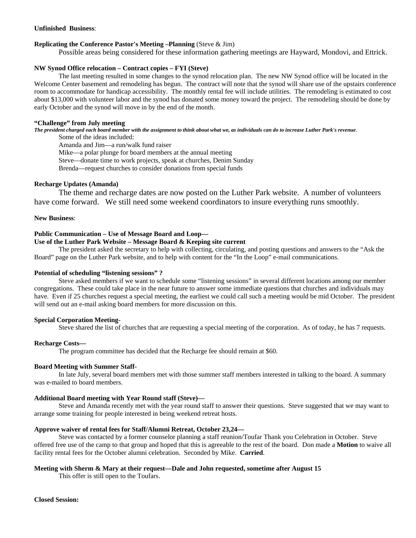## **Unfinished Business**:

# **Replicating the Conference Pastor's Meeting –Planning** (Steve & Jim)

Possible areas being considered for these information gathering meetings are Hayward, Mondovi, and Ettrick.

# **NW Synod Office relocation – Contract copies – FYI (Steve)**

 The last meeting resulted in some changes to the synod relocation plan. The new NW Synod office will be located in the Welcome Center basement and remodeling has begun. The contract will note that the synod will share use of the upstairs conference room to accommodate for handicap accessibility. The monthly rental fee will include utilities. The remodeling is estimated to cost about \$13,000 with volunteer labor and the synod has donated some money toward the project. The remodeling should be done by early October and the synod will move in by the end of the month.

## **"Challenge" from July meeting**

*The president charged each board member with the assignment to think about what we, as individuals can do to increase Luther Park's revenue.* Some of the ideas included:

Amanda and Jim—a run/walk fund raiser

Mike—a polar plunge for board members at the annual meeting

Steve—donate time to work projects, speak at churches, Denim Sunday

Brenda—request churches to consider donations from special funds

## **Recharge Updates (Amanda)**

 The theme and recharge dates are now posted on the Luther Park website. A number of volunteers have come forward. We still need some weekend coordinators to insure everything runs smoothly.

## **New Business**:

## **Public Communication – Use of Message Board and Loop—**

### **Use of the Luther Park Website – Message Board & Keeping site current**

 The president asked the secretary to help with collecting, circulating, and posting questions and answers to the "Ask the Board" page on the Luther Park website, and to help with content for the "In the Loop" e-mail communications.

### **Potential of scheduling "listening sessions" ?**

Steve asked members if we want to schedule some "listening sessions" in several different locations among our member congregations. These could take place in the near future to answer some immediate questions that churches and individuals may have. Even if 25 churches request a special meeting, the earliest we could call such a meeting would be mid October. The president will send out an e-mail asking board members for more discussion on this.

# **Special Corporation Meeting-**

Steve shared the list of churches that are requesting a special meeting of the corporation. As of today, he has 7 requests.

### **Recharge Costs—**

The program committee has decided that the Recharge fee should remain at \$60.

### **Board Meeting with Summer Staff-**

 In late July, several board members met with those summer staff members interested in talking to the board. A summary was e-mailed to board members.

### **Additional Board meeting with Year Round staff (Steve)—**

Steve and Amanda recently met with the year round staff to answer their questions. Steve suggested that we may want to arrange some training for people interested in being weekend retreat hosts.

# **Approve waiver of rental fees for Staff/Alumni Retreat, October 23,24—**

Steve was contacted by a former counselor planning a staff reunion/Toufar Thank you Celebration in October. Steve offered free use of the camp to that group and hoped that this is agreeable to the rest of the board. Don made a **Motion** to waive all facility rental fees for the October alumni celebration. Seconded by Mike. **Carried**.

# **Meeting with Sherm & Mary at their request—Dale and John requested, sometime after August 15**

This offer is still open to the Toufars.